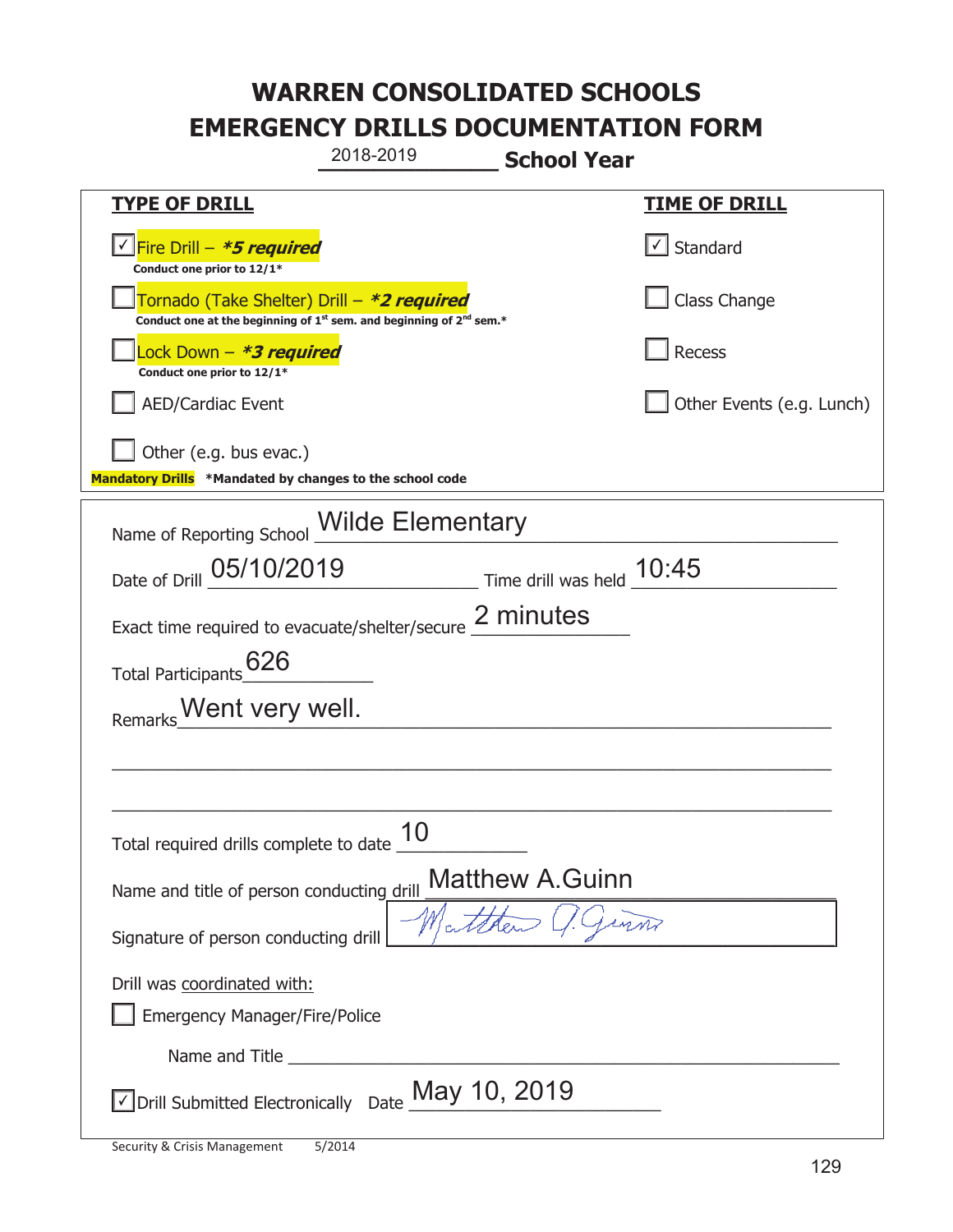| 2018-2019                                                                                                                                 | <b>School Year</b>                                                            |  |
|-------------------------------------------------------------------------------------------------------------------------------------------|-------------------------------------------------------------------------------|--|
| <b>TYPE OF DRILL</b>                                                                                                                      | <u>TIME OF DRILL</u>                                                          |  |
| √Fire Drill – <b>*5 required</b><br>Conduct one prior to 12/1*                                                                            | Standard                                                                      |  |
| Tornado (Take Shelter) Drill – *2 required<br>Conduct one at the beginning of 1 <sup>st</sup> sem. and beginning of 2 <sup>nd</sup> sem.* | Class Change                                                                  |  |
| Lock Down - *3 required<br>Conduct one prior to 12/1*                                                                                     | Recess                                                                        |  |
| <b>AED/Cardiac Event</b>                                                                                                                  | Other Events (e.g. Lunch)                                                     |  |
| Other (e.g. bus evac.)<br>Mandatory Drills *Mandated by changes to the school code                                                        |                                                                               |  |
| <b>Wilde Elementary</b><br>Name of Reporting School                                                                                       |                                                                               |  |
| Date of Drill 05/10/2019                                                                                                                  | $\frac{10:45}{\frac{10}{2}}$ Time drill was held $\frac{10:45}{\frac{10}{2}}$ |  |
| Exact time required to evacuate/shelter/secure 2 minutes                                                                                  |                                                                               |  |
| 626<br><b>Total Participants</b>                                                                                                          |                                                                               |  |
| Went very well.<br>Remarks                                                                                                                |                                                                               |  |
|                                                                                                                                           |                                                                               |  |
|                                                                                                                                           |                                                                               |  |
| 10<br>Total required drills complete to date                                                                                              |                                                                               |  |
| <b>Matthew A.Guinn</b><br>Name and title of person conducting drill                                                                       |                                                                               |  |
| Signature of person conducting drill                                                                                                      | Watther                                                                       |  |
| Drill was coordinated with:<br><b>Emergency Manager/Fire/Police</b>                                                                       |                                                                               |  |
|                                                                                                                                           |                                                                               |  |
| $\vee$ Drill Submitted Electronically Date $\frac{\text{May 10, 2019}}{}$                                                                 |                                                                               |  |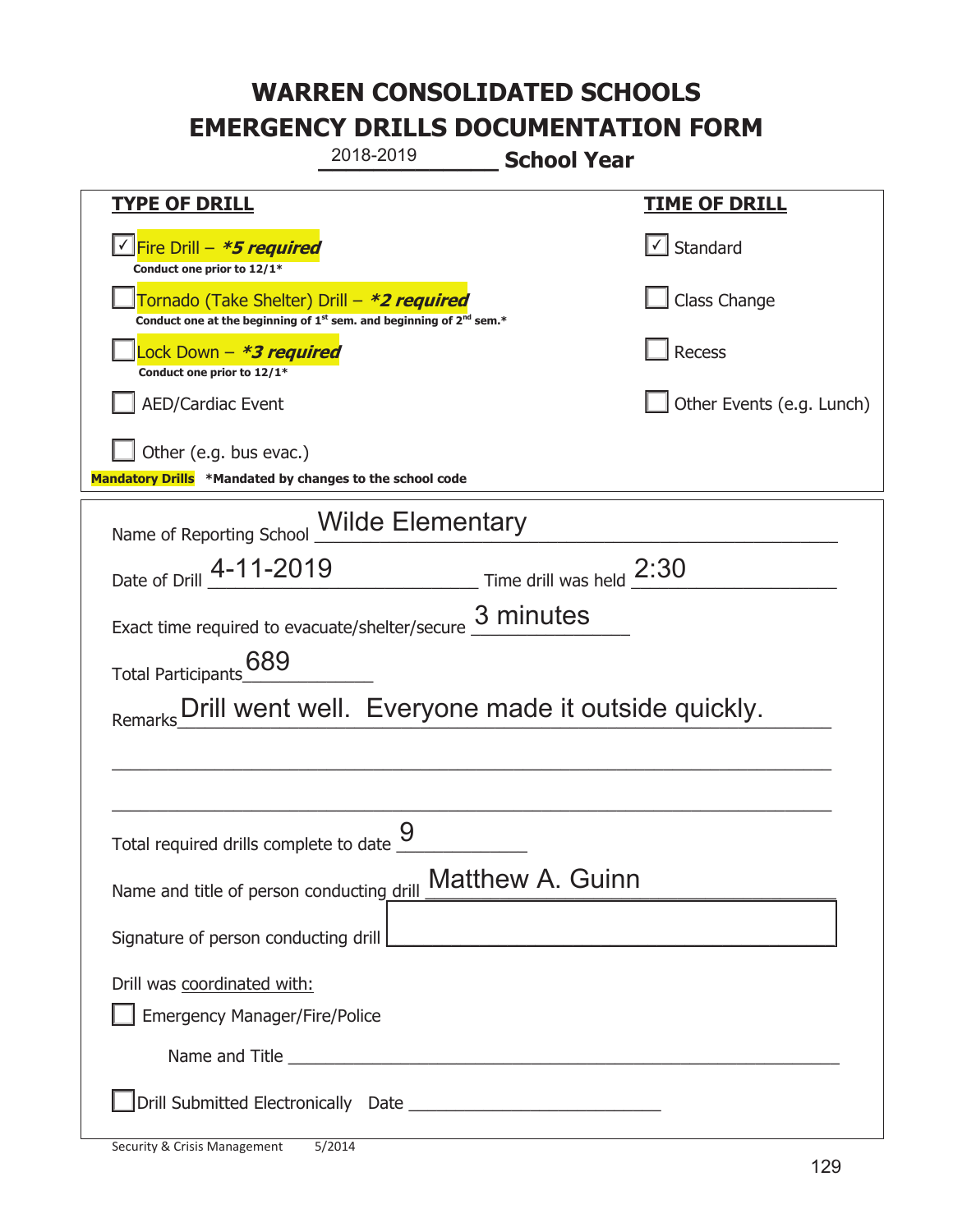|                                                                                                                             | 2018-2019                                          | <b>School Year</b>                                                                                                    |                           |
|-----------------------------------------------------------------------------------------------------------------------------|----------------------------------------------------|-----------------------------------------------------------------------------------------------------------------------|---------------------------|
| <b>TYPE OF DRILL</b>                                                                                                        |                                                    |                                                                                                                       | <u>TIME OF DRILL</u>      |
| Fire Drill - *5 required<br>Conduct one prior to 12/1*                                                                      |                                                    |                                                                                                                       | √ Standard                |
| Tornado (Take Shelter) Drill – *2 required<br>Conduct one at the beginning of $1^{st}$ sem. and beginning of $2^{nd}$ sem.* |                                                    |                                                                                                                       | Class Change              |
| ock Down – <b>*<i>3 required</i></b><br>Conduct one prior to 12/1*                                                          |                                                    |                                                                                                                       | Recess                    |
| <b>AED/Cardiac Event</b>                                                                                                    |                                                    |                                                                                                                       | Other Events (e.g. Lunch) |
| Other (e.g. bus evac.)<br>Mandatory Drills *Mandated by changes to the school code                                          |                                                    |                                                                                                                       |                           |
| Name of Reporting School Milde Elementary                                                                                   |                                                    |                                                                                                                       |                           |
| Date of Drill _4-11-2019                                                                                                    |                                                    |                                                                                                                       |                           |
| Exact time required to evacuate/shelter/secure 3 minutes                                                                    |                                                    |                                                                                                                       |                           |
| 689<br><b>Total Participants</b>                                                                                            |                                                    |                                                                                                                       |                           |
| Remarks                                                                                                                     | Drill went well. Everyone made it outside quickly. |                                                                                                                       |                           |
|                                                                                                                             |                                                    |                                                                                                                       |                           |
|                                                                                                                             |                                                    |                                                                                                                       |                           |
| Total required drills complete to date $\frac{9}{10}$                                                                       |                                                    |                                                                                                                       |                           |
| Name and title of person conducting drill                                                                                   |                                                    | <b>Matthew A. Guinn</b>                                                                                               |                           |
| Signature of person conducting drill                                                                                        |                                                    | <u> 1989 - Johann Barbara, martin amerikan basar dan berasal dalam basar dalam basar dalam basar dalam basar dala</u> |                           |
| Drill was coordinated with:                                                                                                 |                                                    |                                                                                                                       |                           |
| <b>Emergency Manager/Fire/Police</b>                                                                                        |                                                    |                                                                                                                       |                           |
|                                                                                                                             |                                                    |                                                                                                                       |                           |
|                                                                                                                             |                                                    |                                                                                                                       |                           |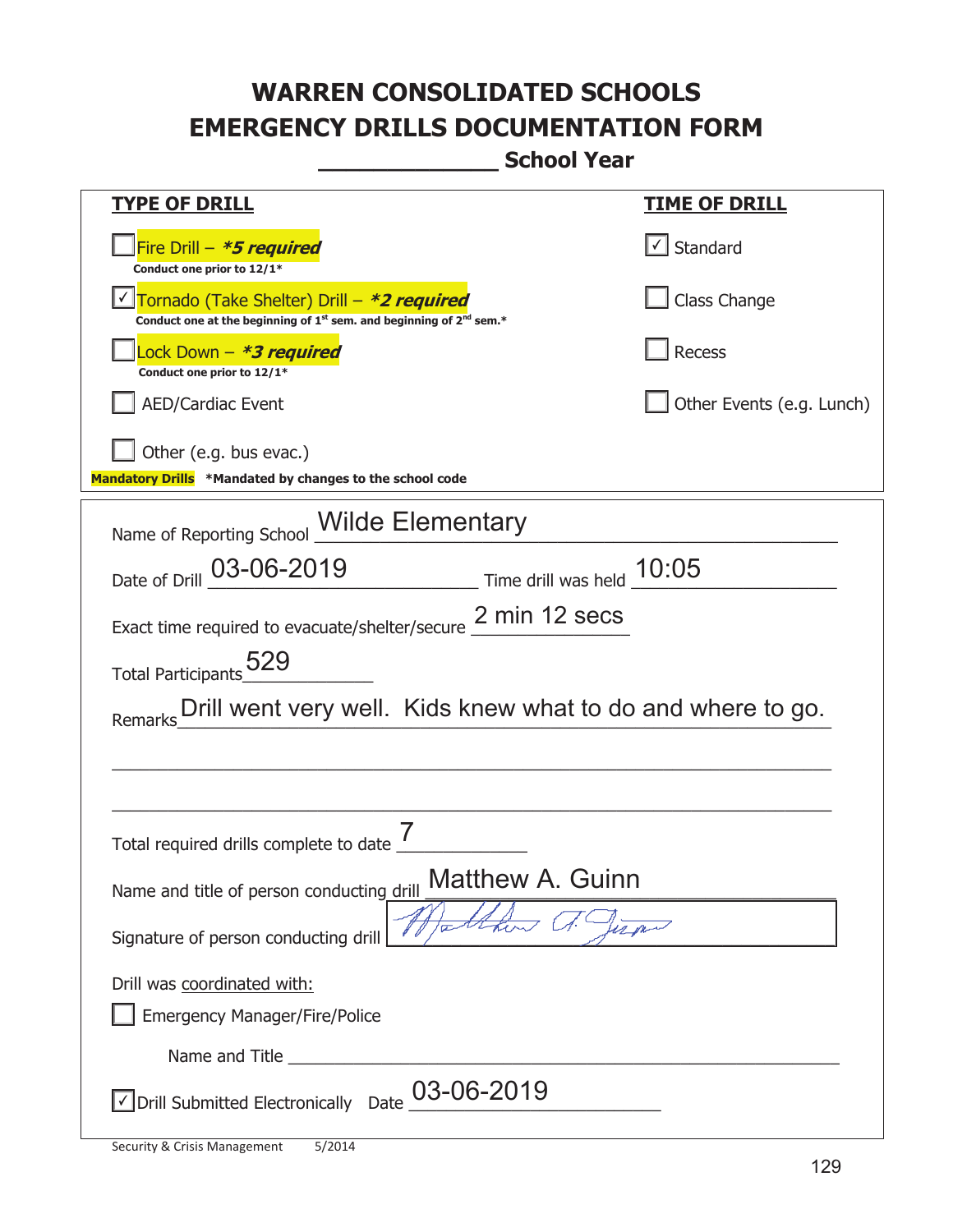| <u>TYPE OF DRILL</u>                                                                                                                      | <b>TIME OF DRILL</b>      |  |
|-------------------------------------------------------------------------------------------------------------------------------------------|---------------------------|--|
| Fire Drill - *5 required<br>Conduct one prior to 12/1*                                                                                    | √ Standard                |  |
| Tornado (Take Shelter) Drill - *2 required<br>Conduct one at the beginning of 1 <sup>st</sup> sem. and beginning of 2 <sup>nd</sup> sem.* | Class Change              |  |
| Lock Down – <b>*<i>3 required</i></b><br>Conduct one prior to 12/1*                                                                       | <b>Recess</b>             |  |
| AED/Cardiac Event                                                                                                                         | Other Events (e.g. Lunch) |  |
| Other (e.g. bus evac.)<br>Mandatory Drills *Mandated by changes to the school code                                                        |                           |  |
| Name of Reporting School <b>Wilde Elementary</b>                                                                                          |                           |  |
|                                                                                                                                           |                           |  |
| Date of Drill 03-06-2019<br>Time drill was held 10:05                                                                                     |                           |  |
| Exact time required to evacuate/shelter/secure 2 min 12 secs                                                                              |                           |  |
|                                                                                                                                           |                           |  |
| Total Participants 529                                                                                                                    |                           |  |
| Drill went very well. Kids knew what to do and where to go.<br>Remarks                                                                    |                           |  |
|                                                                                                                                           |                           |  |
|                                                                                                                                           |                           |  |
| Total required drills complete to date                                                                                                    |                           |  |
| <b>Matthew A. Guinn</b>                                                                                                                   |                           |  |
| Name and title of person conducting drill                                                                                                 |                           |  |
| Signature of person conducting drill                                                                                                      |                           |  |
| Drill was coordinated with:                                                                                                               |                           |  |
| <b>Emergency Manager/Fire/Police</b>                                                                                                      |                           |  |
| Name and Title                                                                                                                            |                           |  |
| $\sqrt{}$ Drill Submitted Electronically Date $\underline{\text{03}}$ -06-2019                                                            |                           |  |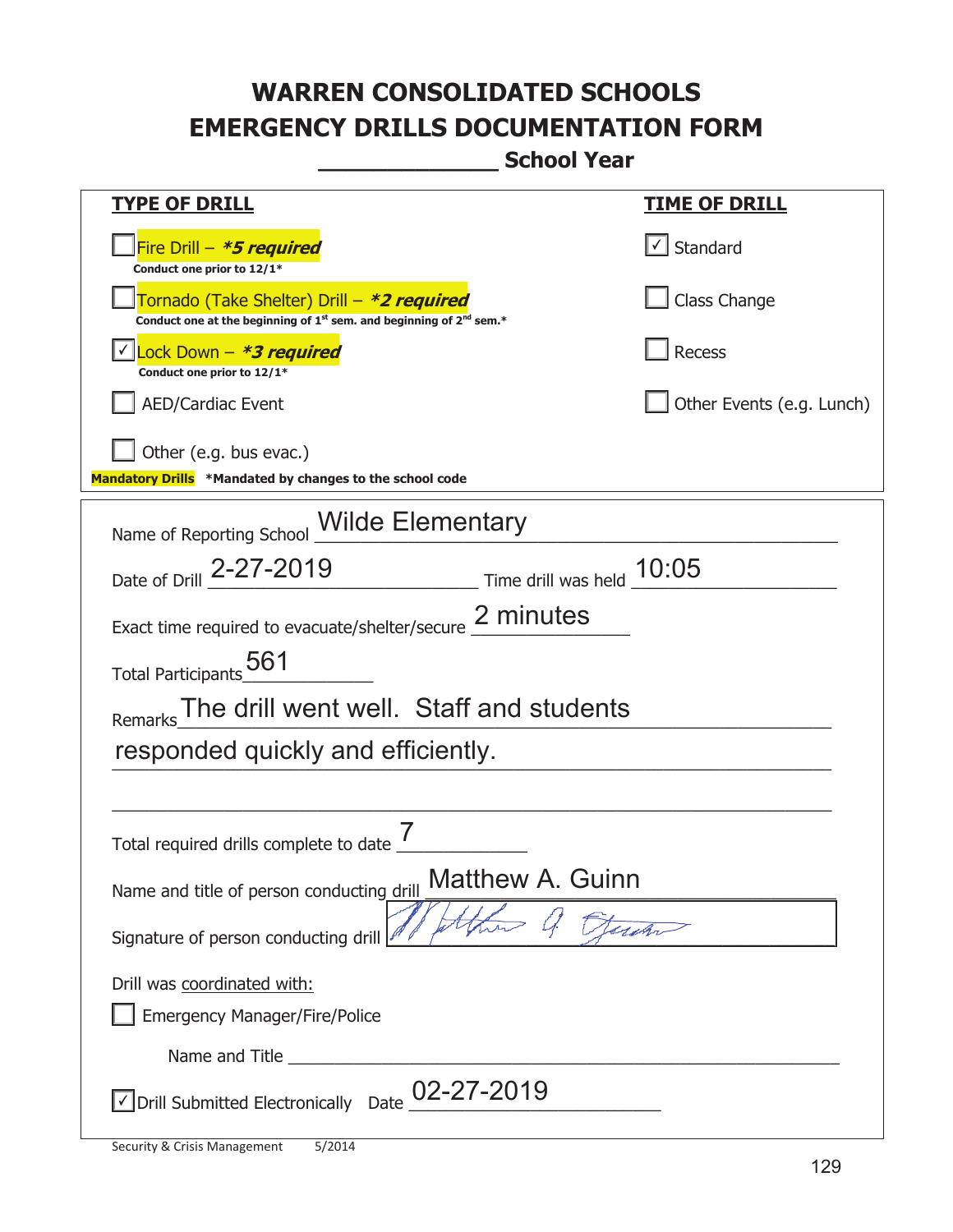| <u>TYPE OF DRILL</u>                                                                                                        | <u>TIME OF DRILL</u>              |  |
|-----------------------------------------------------------------------------------------------------------------------------|-----------------------------------|--|
| Fire Drill - *5 required<br>Conduct one prior to 12/1*                                                                      | $\lfloor \angle \rfloor$ Standard |  |
| Tornado (Take Shelter) Drill – *2 required<br>Conduct one at the beginning of $1^{st}$ sem. and beginning of $2^{nd}$ sem.* | Class Change                      |  |
| Lock Down - *3 required<br>Conduct one prior to 12/1*                                                                       | Recess                            |  |
| <b>AED/Cardiac Event</b>                                                                                                    | Other Events (e.g. Lunch)         |  |
| Other (e.g. bus evac.)<br>Mandatory Drills *Mandated by changes to the school code                                          |                                   |  |
| Name of Reporting School <i>Wilde</i> Elementary                                                                            |                                   |  |
| Date of Drill 2-27-2019 Time drill was held 10:05                                                                           |                                   |  |
| Exact time required to evacuate/shelter/secure 2 minutes                                                                    |                                   |  |
| Total Participants <sub>_0</sub> 561                                                                                        |                                   |  |
| Remarks The drill went well. Staff and students                                                                             |                                   |  |
| responded quickly and efficiently.                                                                                          |                                   |  |
|                                                                                                                             |                                   |  |
| Total required drills complete to date                                                                                      |                                   |  |
| <b>Matthew A. Guinn</b><br>Name and title of person conducting drill                                                        |                                   |  |
| Signature of person conducting drill                                                                                        |                                   |  |
| Drill was coordinated with:                                                                                                 |                                   |  |
| <b>Emergency Manager/Fire/Police</b>                                                                                        |                                   |  |
|                                                                                                                             |                                   |  |
| $\sqrt{\phantom{a}}$ Drill Submitted Electronically Date $\_$ 02-27-2019                                                    |                                   |  |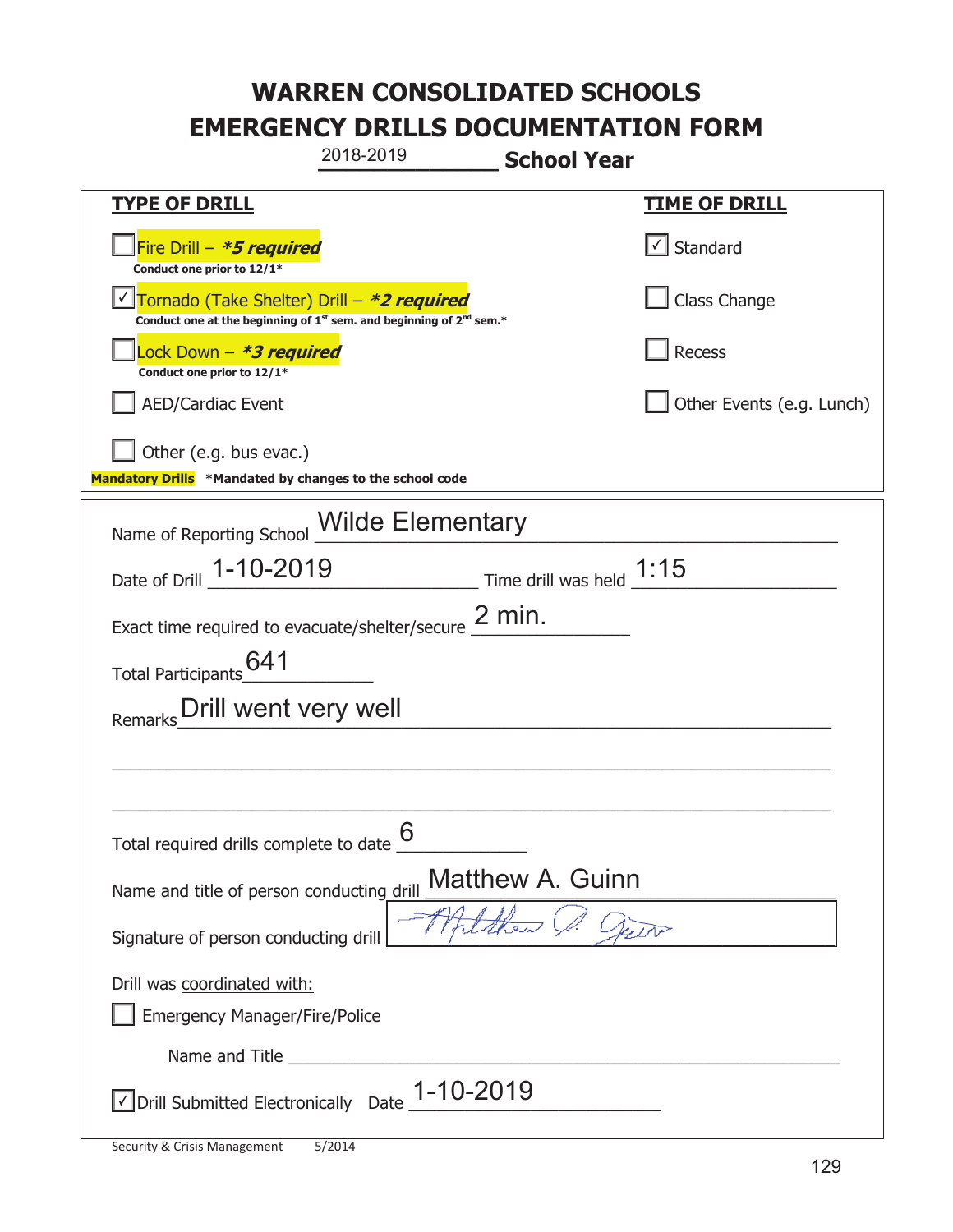| 2018-2019<br><b>School Year</b>                                                                                             |                              |  |
|-----------------------------------------------------------------------------------------------------------------------------|------------------------------|--|
| <b>TYPE OF DRILL</b>                                                                                                        | <u>TIME OF DRILL</u>         |  |
| Fire Drill - *5 required<br>Conduct one prior to 12/1*                                                                      | $\vert \cdot \vert$ Standard |  |
| Tornado (Take Shelter) Drill - *2 required<br>Conduct one at the beginning of $1^{st}$ sem. and beginning of $2^{nd}$ sem.* | Class Change                 |  |
| Lock Down - *3 required<br>Conduct one prior to 12/1*                                                                       | Recess                       |  |
| <b>AED/Cardiac Event</b>                                                                                                    | Other Events (e.g. Lunch)    |  |
| Other (e.g. bus evac.)<br>Mandatory Drills *Mandated by changes to the school code                                          |                              |  |
| Name of Reporting School <b>Wilde Elementary</b>                                                                            |                              |  |
| Date of Drill 1-10-2019 Time drill was held 1:15                                                                            |                              |  |
| Exact time required to evacuate/shelter/secure $2$ min.                                                                     |                              |  |
| Total Participants 641                                                                                                      |                              |  |
| Drill went very well<br>Remarks                                                                                             |                              |  |
|                                                                                                                             |                              |  |
|                                                                                                                             |                              |  |
| 6<br>Total required drills complete to date                                                                                 |                              |  |
| Matthew A. Guinn<br>Name and title of person conducting drill                                                               |                              |  |
| Signature of person conducting drill                                                                                        |                              |  |
| Drill was coordinated with:<br><b>Emergency Manager/Fire/Police</b>                                                         |                              |  |
|                                                                                                                             |                              |  |
| $\vee$ Drill Submitted Electronically Date $1-10-2019$                                                                      |                              |  |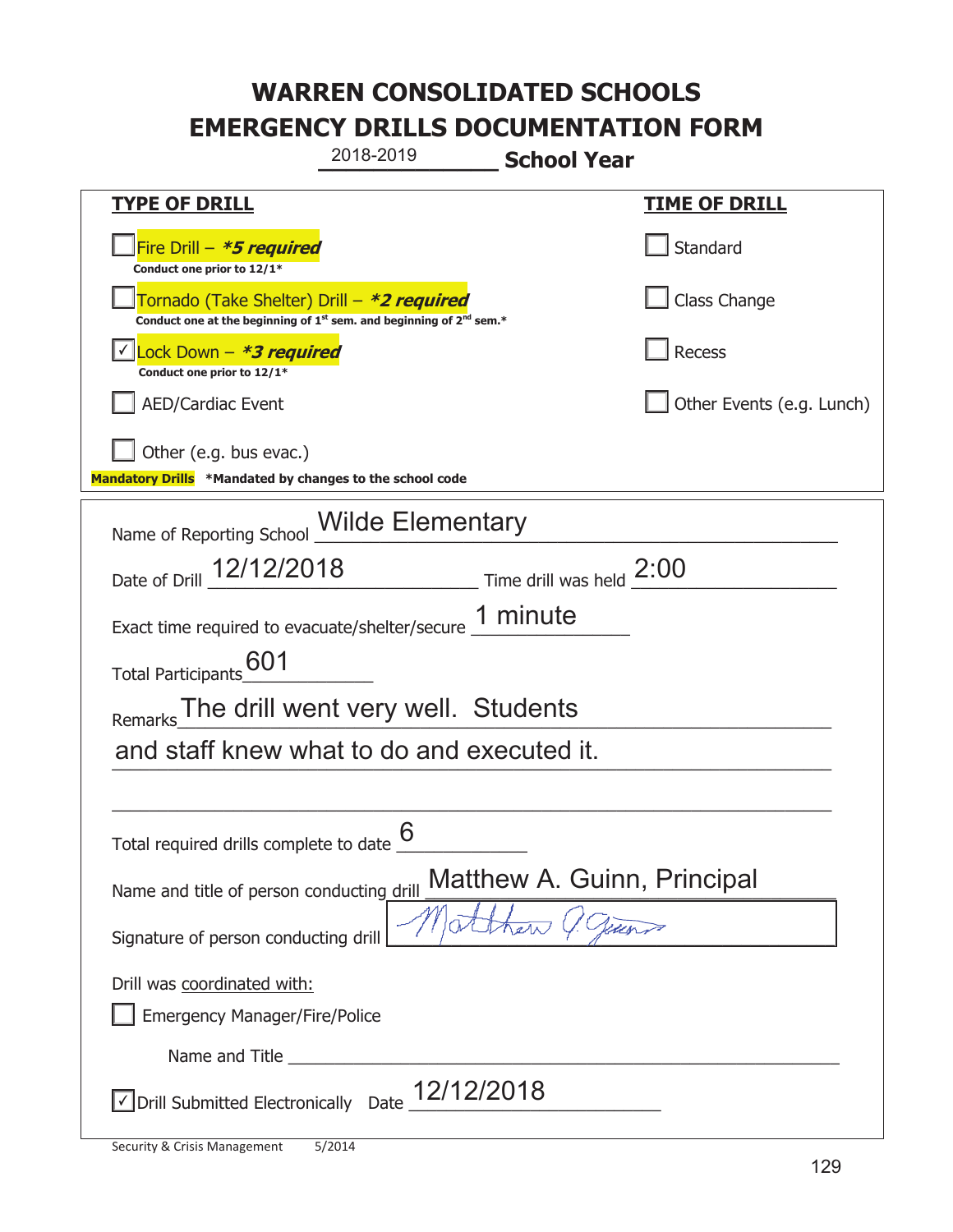| 2018-2019                                                                                                                                 | <b>School Year</b>          |
|-------------------------------------------------------------------------------------------------------------------------------------------|-----------------------------|
| <u>TYPE OF DRILL</u>                                                                                                                      | <u>TIME OF DRILL</u>        |
| Fire Drill - *5 required<br>Conduct one prior to 12/1*                                                                                    | Standard                    |
| Tornado (Take Shelter) Drill – *2 required<br>Conduct one at the beginning of 1 <sup>st</sup> sem. and beginning of 2 <sup>nd</sup> sem.* | Class Change                |
| Lock Down - <b>*3 required</b><br>Conduct one prior to 12/1*                                                                              | Recess                      |
| <b>AED/Cardiac Event</b>                                                                                                                  | Other Events (e.g. Lunch)   |
| Other (e.g. bus evac.)<br>Mandatory Drills *Mandated by changes to the school code                                                        |                             |
|                                                                                                                                           |                             |
| Name of Reporting School Milde Elementary                                                                                                 |                             |
| Date of Drill 12/12/2018                                                                                                                  | Time drill was held $2:00$  |
| Exact time required to evacuate/shelter/secure 1 minute                                                                                   |                             |
| Total Participants <sup>601</sup>                                                                                                         |                             |
| The drill went very well. Students<br>Remarks                                                                                             |                             |
| and staff knew what to do and executed it.                                                                                                |                             |
|                                                                                                                                           |                             |
| 6<br>Total required drills complete to date                                                                                               |                             |
| Name and title of person conducting drill                                                                                                 | Matthew A. Guinn, Principal |
| Signature of person conducting drill                                                                                                      |                             |
| Drill was coordinated with:                                                                                                               |                             |
| <b>Emergency Manager/Fire/Police</b>                                                                                                      |                             |
|                                                                                                                                           |                             |
| $\sqrt{2}$ Drill Submitted Electronically Date $\_12/12/2018$                                                                             |                             |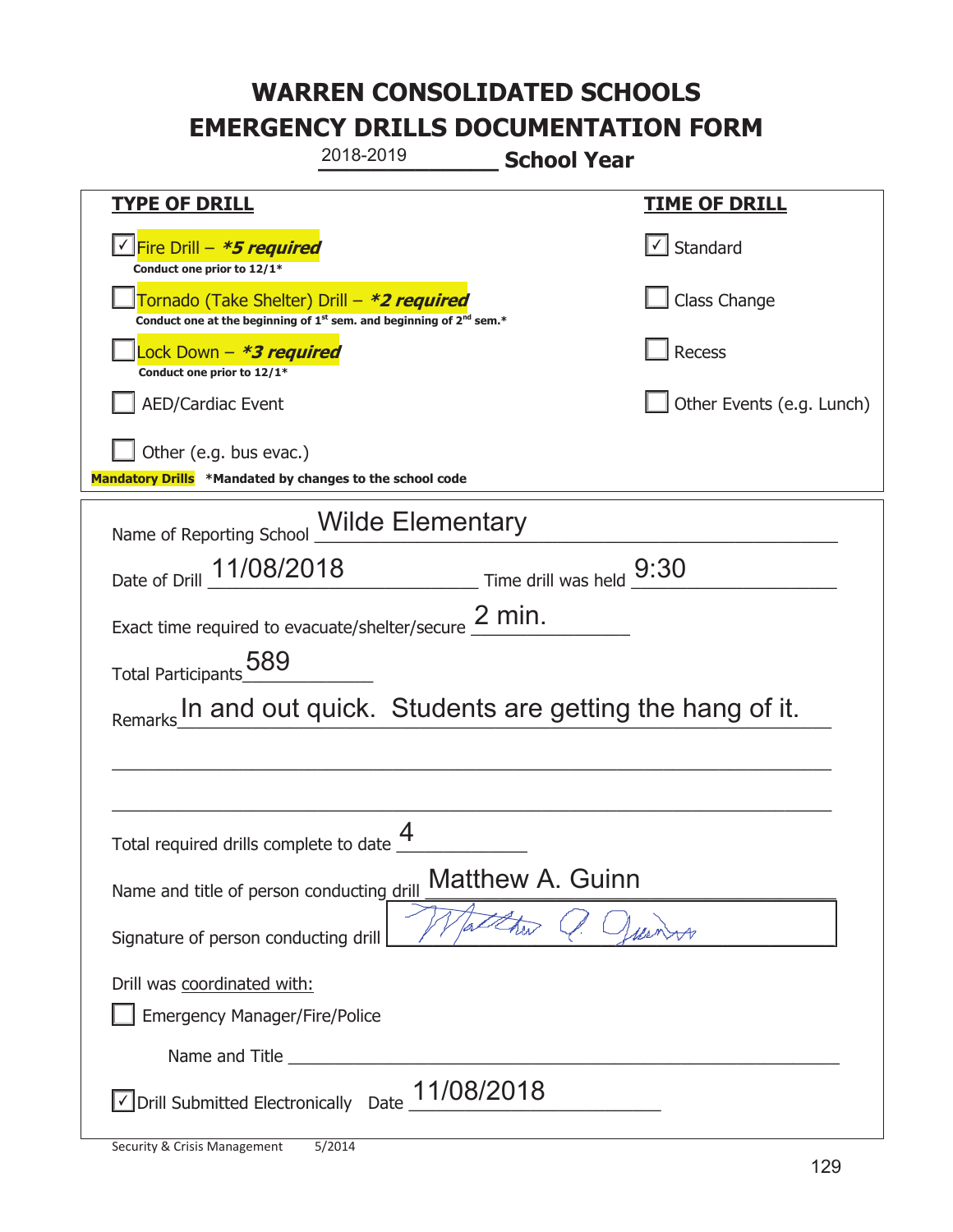|                                                                                            | 2018-2019<br><b>School Year</b>                                               |                           |
|--------------------------------------------------------------------------------------------|-------------------------------------------------------------------------------|---------------------------|
| <u>TYPE OF DRILL</u>                                                                       |                                                                               | <u>TIME OF DRILL</u>      |
| <u>√ <mark>Fire Drill – <i>*<b>5 required</b></i></mark></u><br>Conduct one prior to 12/1* |                                                                               | $\cup$ Standard           |
| Tornado (Take Shelter) Drill – *2 required                                                 | Conduct one at the beginning of $1^{st}$ sem. and beginning of $2^{nd}$ sem.* | Class Change              |
| ock Down – <b>*3 required</b><br>Conduct one prior to 12/1*                                |                                                                               | Recess                    |
| <b>AED/Cardiac Event</b>                                                                   |                                                                               | Other Events (e.g. Lunch) |
| Other (e.g. bus evac.)<br>Mandatory Drills *Mandated by changes to the school code         |                                                                               |                           |
|                                                                                            | Name of Reporting School <i>Wilde</i> Elementary                              |                           |
| Date of Drill 11/08/2018                                                                   | $\frac{9:30}{\frac{1}{2}}$ Time drill was held $\frac{9:30}{\frac{1}{2}}$     |                           |
| Exact time required to evacuate/shelter/secure $2$ min.                                    |                                                                               |                           |
| Total Participants 589                                                                     |                                                                               |                           |
|                                                                                            | In and out quick. Students are getting the hang of it.                        |                           |
|                                                                                            |                                                                               |                           |
|                                                                                            |                                                                               |                           |
| 4<br>Total required drills complete to date                                                |                                                                               |                           |
| <b>Matthew A. Guinn</b><br>Name and title of person conducting drill                       |                                                                               |                           |
| Signature of person conducting drill                                                       |                                                                               |                           |
| Drill was coordinated with:<br><b>Emergency Manager/Fire/Police</b>                        |                                                                               |                           |
|                                                                                            |                                                                               |                           |
| Drill Submitted Electronically Date                                                        | 11/08/2018                                                                    |                           |

t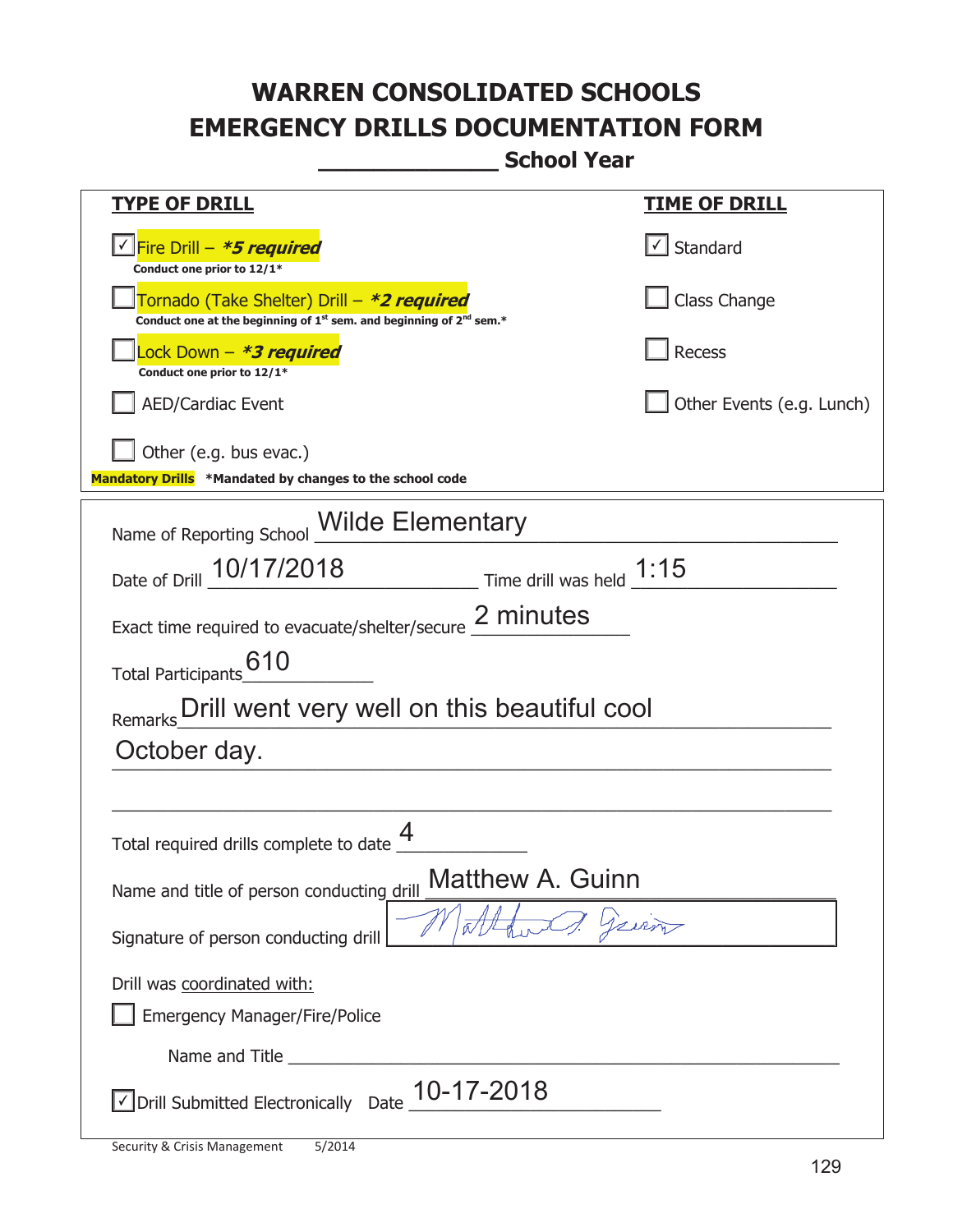| <u>TYPE OF DRILL</u>                                                                                                                      | <u>TIME OF DRILL</u>      |  |
|-------------------------------------------------------------------------------------------------------------------------------------------|---------------------------|--|
| <u>√ Fire Drill – <i>*5 required</i></u>                                                                                                  | $\cup$ Standard           |  |
| Conduct one prior to 12/1*                                                                                                                |                           |  |
| Tornado (Take Shelter) Drill – *2 required<br>Conduct one at the beginning of 1 <sup>st</sup> sem. and beginning of 2 <sup>nd</sup> sem.* | Class Change              |  |
| Lock Down – <b>*<i>3 required</i></b><br>Conduct one prior to 12/1*                                                                       | Recess                    |  |
| <b>AED/Cardiac Event</b>                                                                                                                  | Other Events (e.g. Lunch) |  |
| Other (e.g. bus evac.)<br>Mandatory Drills *Mandated by changes to the school code                                                        |                           |  |
|                                                                                                                                           |                           |  |
| Name of Reporting School Milde Elementary                                                                                                 |                           |  |
| Date of Drill 10/17/2018 Time drill was held 1:15                                                                                         |                           |  |
| Exact time required to evacuate/shelter/secure 2 minutes                                                                                  |                           |  |
| 610<br><b>Total Participants</b>                                                                                                          |                           |  |
| Drill went very well on this beautiful cool<br>Remarks                                                                                    |                           |  |
| October day.                                                                                                                              |                           |  |
|                                                                                                                                           |                           |  |
| Total required drills complete to date                                                                                                    |                           |  |
| Matthew A. Guinn<br>Name and title of person conducting drill                                                                             |                           |  |
| Signature of person conducting drill                                                                                                      | Jerroy                    |  |
| Drill was coordinated with:                                                                                                               |                           |  |
| <b>Emergency Manager/Fire/Police</b>                                                                                                      |                           |  |
|                                                                                                                                           |                           |  |
| 10-17-2018<br>√ Drill Submitted Electronically Date                                                                                       |                           |  |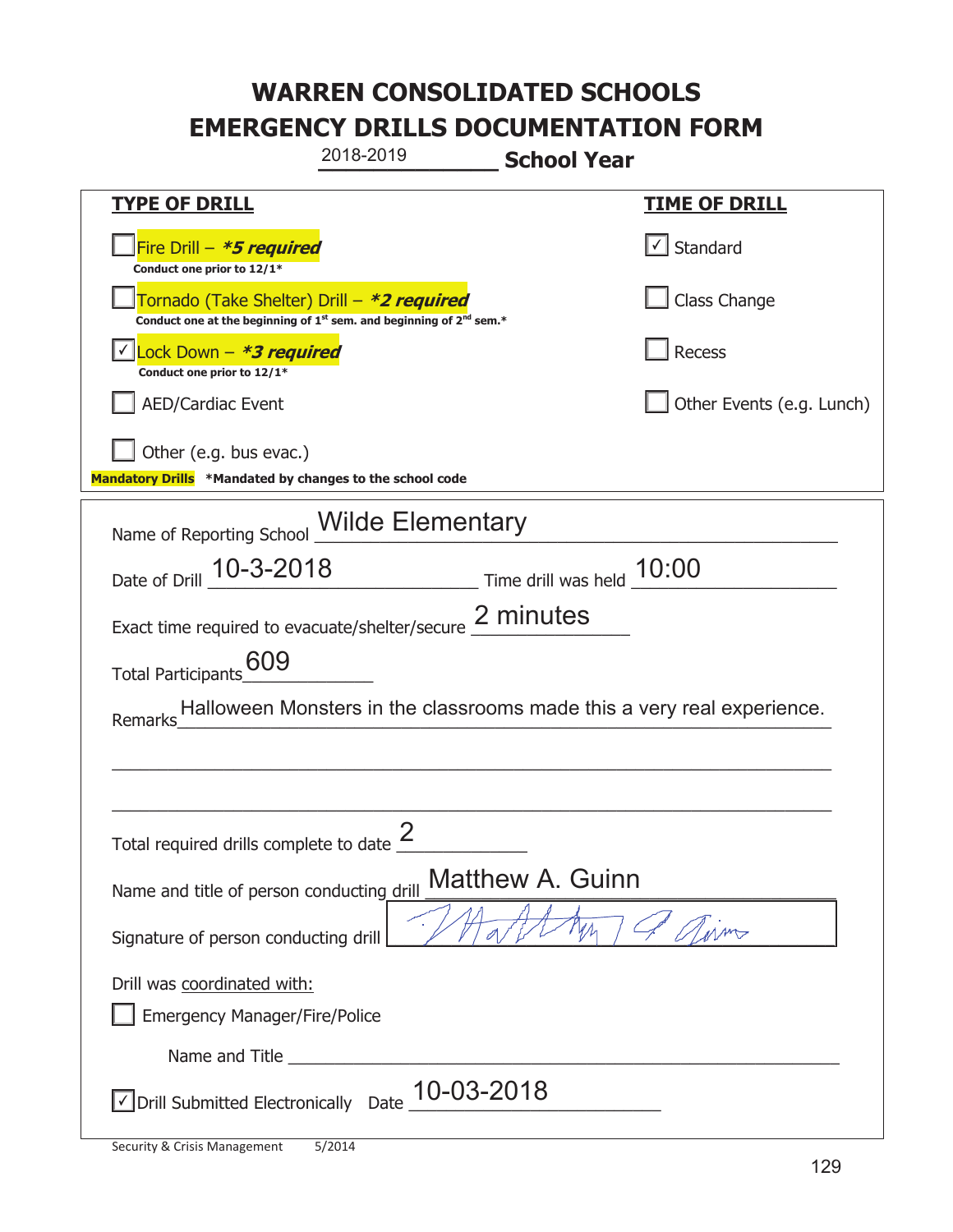| 2018-2019<br><b>School Year</b>                                                                                             |                           |  |
|-----------------------------------------------------------------------------------------------------------------------------|---------------------------|--|
| <b>TYPE OF DRILL</b>                                                                                                        | <b>TIME OF DRILL</b>      |  |
| Fire Drill $-$ <b>*5 required</b><br>Conduct one prior to 12/1*                                                             | $\lfloor$ Standard        |  |
| Tornado (Take Shelter) Drill – *2 required<br>Conduct one at the beginning of $1^{st}$ sem. and beginning of $2^{nd}$ sem.* | Class Change              |  |
| Lock Down - *3 required<br>Conduct one prior to 12/1*                                                                       | Recess                    |  |
| <b>AED/Cardiac Event</b>                                                                                                    | Other Events (e.g. Lunch) |  |
| Other (e.g. bus evac.)<br>Mandatory Drills *Mandated by changes to the school code                                          |                           |  |
| Name of Reporting School <b>Wilde Elementary</b>                                                                            |                           |  |
| Date of Drill 10-3-2018<br>Time drill was held 10:00                                                                        |                           |  |
| Exact time required to evacuate/shelter/secure 2 minutes                                                                    |                           |  |
| 609<br>Total Participants                                                                                                   |                           |  |
| Halloween Monsters in the classrooms made this a very real experience.<br>Remarks                                           |                           |  |
|                                                                                                                             |                           |  |
|                                                                                                                             |                           |  |
| Total required drills complete to date $\frac{2}{3}$                                                                        |                           |  |
| <b>Matthew A. Guinn</b><br>Name and title of person conducting drill                                                        |                           |  |
| Signature of person conducting drill                                                                                        |                           |  |
| Drill was coordinated with:                                                                                                 |                           |  |
| Emergency Manager/Fire/Police                                                                                               |                           |  |
|                                                                                                                             |                           |  |
| 10-03-2018<br>√ Drill Submitted Electronically Date                                                                         |                           |  |